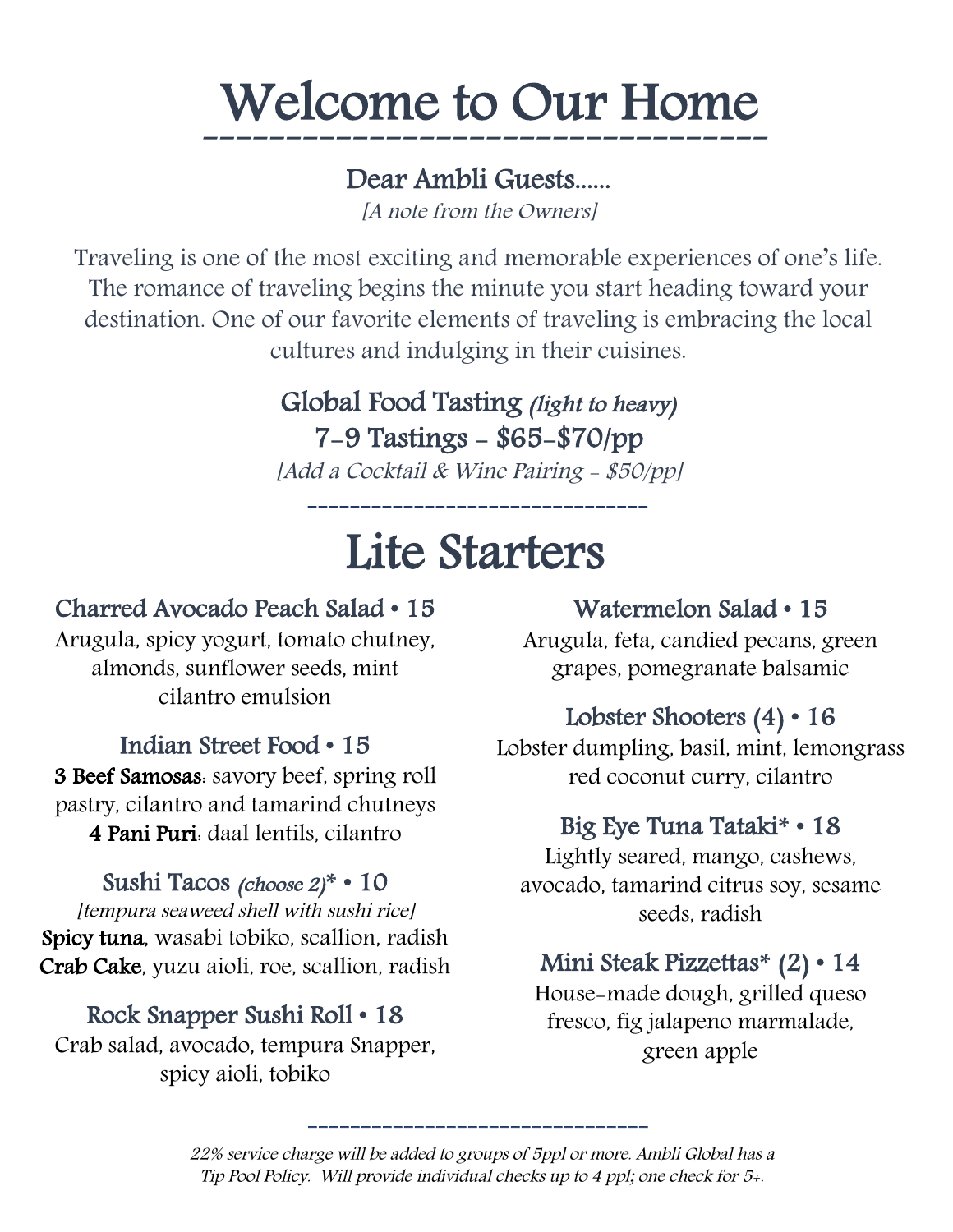# Welcome to Our Home

----------------------------------

#### Dear Ambli Guests......

[A note from the Owners]

Traveling is one of the most exciting and memorable experiences of one's life. The romance of traveling begins the minute you start heading toward your destination. One of our favorite elements of traveling is embracing the local cultures and indulging in their cuisines.

### Global Food Tasting (light to heavy)

7-9 Tastings - \$65-\$70/pp

[Add a Cocktail & Wine Pairing - \$50/pp]

--------------------------------

# Lite Starters

#### Charred Avocado Peach Salad • 15

Arugula, spicy yogurt, tomato chutney, almonds, sunflower seeds, mint cilantro emulsion

#### Indian Street Food • 15

3 Beef Samosas: savory beef, spring roll pastry, cilantro and tamarind chutneys 4 Pani Puri: daal lentils, cilantro

#### Sushi Tacos (choose 2)**\*** • 10

[tempura seaweed shell with sushi rice] Spicy tuna, wasabi tobiko, scallion, radish Crab Cake, yuzu aioli, roe, scallion, radish

#### Rock Snapper Sushi Roll • 18

Crab salad, avocado, tempura Snapper, spicy aioli, tobiko

#### Watermelon Salad • 15

Arugula, feta, candied pecans, green grapes, pomegranate balsamic

#### Lobster Shooters (4) • 16

Lobster dumpling, basil, mint, lemongrass red coconut curry, cilantro

#### Big Eye Tuna Tataki**\*** • 18

Lightly seared, mango, cashews, avocado, tamarind citrus soy, sesame seeds, radish

#### Mini Steak Pizzettas**\*** (2) • 14

House-made dough, grilled queso fresco, fig jalapeno marmalade, green apple

22% service charge will be added to groups of 5ppl or more. Ambli Global has a Tip Pool Policy. Will provide individual checks up to 4 ppl; one check for 5+.

--------------------------------